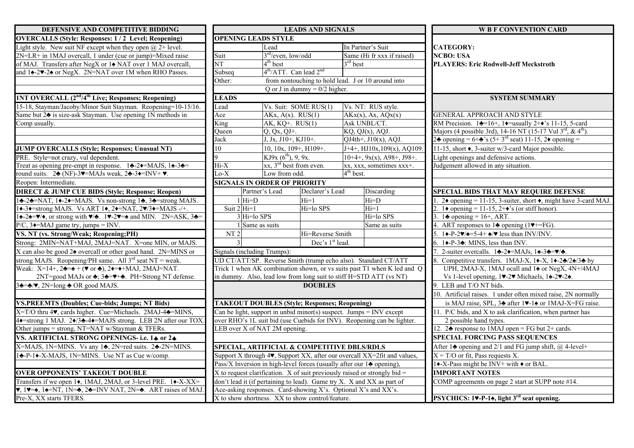| DEFENSIVE AND COMPETITIVE BIDDING                                                                                                                                       | <b>LEADS AND SIGNALS</b>                                                                      |                                                      |                                                      |                       |                                                                                                                        | <b>W B F CONVENTION CARD</b>                                                                                      |  |
|-------------------------------------------------------------------------------------------------------------------------------------------------------------------------|-----------------------------------------------------------------------------------------------|------------------------------------------------------|------------------------------------------------------|-----------------------|------------------------------------------------------------------------------------------------------------------------|-------------------------------------------------------------------------------------------------------------------|--|
| <b>OVERCALLS (Style: Responses: 1/2 Level; Reopening)</b>                                                                                                               |                                                                                               | <b>OPENING LEADS STYLE</b>                           |                                                      |                       |                                                                                                                        |                                                                                                                   |  |
| Light style. New suit NF except when they open $(a)$ 2+ level.                                                                                                          |                                                                                               | Lead                                                 |                                                      |                       | In Partner's Suit                                                                                                      | <b>CATEGORY:</b>                                                                                                  |  |
| 2N=LR+ in 1MAJ overcall, 1 under (cue or jump)=Mixed raise                                                                                                              | Suit                                                                                          | $3rd/even$ , low/odd                                 |                                                      |                       | Same (Hi fr xxx if raised)                                                                                             | <b>NCBO: USA</b>                                                                                                  |  |
| of MAJ. Transfers after NegX or 1 <sup>+</sup> NAT over 1 MAJ overcall,                                                                                                 | $\overline{\text{NT}}$                                                                        | $4th$ best                                           |                                                      | $3rd$ best            |                                                                                                                        | <b>PLAYERS: Eric Rodwell-Jeff Meckstroth</b>                                                                      |  |
| and 14-27-24 or NegX. 2N=NAT over 1M when RHO Passes.                                                                                                                   | Subseq                                                                                        | $4th/ATT$ . Can lead $2nd$                           |                                                      |                       |                                                                                                                        |                                                                                                                   |  |
|                                                                                                                                                                         | Other:                                                                                        |                                                      | from nontouching to hold lead. J or $10$ around into |                       |                                                                                                                        |                                                                                                                   |  |
|                                                                                                                                                                         |                                                                                               |                                                      | Q or J in dummy = $0/2$ higher.                      |                       |                                                                                                                        |                                                                                                                   |  |
| <b>INT OVERCALL (2<sup>nd</sup>/4<sup>th</sup> Live; Responses; Reopening)</b>                                                                                          | <b>LEADS</b>                                                                                  |                                                      |                                                      |                       |                                                                                                                        | <b>SYSTEM SUMMARY</b>                                                                                             |  |
| 15-18, Stayman/Jacoby/Minor Suit Stayman. Reopening=10-15/16.                                                                                                           | Lead                                                                                          |                                                      | Vs. Suit: SOME RUS(1)                                |                       | Vs. NT: RUS style.                                                                                                     |                                                                                                                   |  |
| Same but 2 <sup><math>\bullet</math></sup> is size-ask Stayman. Use opening 1N methods in                                                                               | Ace                                                                                           |                                                      | $AKx, A(x)$ . RUS(1)                                 |                       | $AKx(x)$ , Ax, AQx(x)                                                                                                  | <b>GENERAL APPROACH AND STYLE</b>                                                                                 |  |
| Comp usually.                                                                                                                                                           |                                                                                               | King<br>AK, $KQ+$ . RUS $(1)$                        |                                                      | Ask UNBL/CT.          |                                                                                                                        | RM Precision. $1\bigstar=16+$ , $1\bigstar=$ usually $2+\bigstar$ 's 11-15, 5-card                                |  |
|                                                                                                                                                                         | Queen                                                                                         | $Q, Qx, QJ+$ .                                       |                                                      |                       | $\overline{KQ}$ , $\overline{QJ}(x)$ , $\overline{AQJ}$ .                                                              | Majors (4 possible 3rd), 14-16 NT (15-17 Vul 3 <sup>rd</sup> , & 4 <sup>th</sup> ).                               |  |
|                                                                                                                                                                         | Jack                                                                                          | J, Jx, J10+, KJ10+.                                  |                                                      |                       | $QJ4th+$ , $J10(x)$ , AQJ.                                                                                             | 2. opening = $6 + \frac{1}{2}$ 's (5+3 <sup>rd</sup> seat) 11-15, 2 $\bullet$ opening =                           |  |
| <b>JUMP OVERCALLS (Style; Responses; Unusual NT)</b>                                                                                                                    | 10                                                                                            | 10, 10x, 109+, H109+.                                |                                                      |                       | $J+4+$ , HJ10x, 109(x), AQ109.                                                                                         | 11-15, short $\bullet$ , 3-suiter w/3-card Major possible.                                                        |  |
| PRE. Style=not crazy, vul dependent.                                                                                                                                    |                                                                                               | KJ9x $(6^{th})$ , 9, 9x.                             |                                                      |                       | $10+4+$ , $9x(x)$ , $A98+$ , $J98+$ .                                                                                  | Light openings and defensive actions.                                                                             |  |
| Treat as opening pre-empt in response. $1\triangleleft -2\triangleleft = MAJS$ , $1\triangleleft -3\triangleleft =$                                                     | $Hi-X$                                                                                        | $xx$ , $3rd$ best from even.                         |                                                      |                       | xx, xxx, sometimes xxx+.                                                                                               | Judgement allowed in any situation.                                                                               |  |
| round suits. $2\clubsuit$ (NF)-3 $\nightharpoonup$ =MAJs weak, $2\clubsuit$ -3 $\longleftarrow$ =INV+ $\nightharpoonup$ .                                               | $Lo-X$                                                                                        | Low from odd.                                        |                                                      | 4 <sup>th</sup> best. |                                                                                                                        |                                                                                                                   |  |
| Reopen: Intermediate.                                                                                                                                                   | <b>SIGNALS IN ORDER OF PRIORITY</b>                                                           |                                                      |                                                      |                       |                                                                                                                        |                                                                                                                   |  |
| <b>DIRECT &amp; JUMP CUE BIDS (Style; Response; Reopen)</b>                                                                                                             |                                                                                               | Partner's Lead                                       | Declarer's Lead                                      |                       | Discarding                                                                                                             | <b>SPECIAL BIDS THAT MAY REQUIRE DEFENSE</b>                                                                      |  |
| 12-22 = NAT, 10-20 = MAJS. Vs non-strong 12, 32 = strong MAJS.                                                                                                          |                                                                                               | $1$ Hi=D                                             | Hi=1                                                 |                       | $Hi=D$                                                                                                                 | 2♦ opening = 11-15, 3-suiter, short $\triangle$ , might have 3-card MAJ.                                          |  |
| 1.3. Strong MAJS. Vs ART 1., 2. PMAT, 2. 2. MAJS -/+.                                                                                                                   | Suit $2$ Hi=1                                                                                 |                                                      | Hi=lo SPS                                            |                       | $Hi=1$                                                                                                                 | 1 $\bullet$ opening = 11-15, 2+ $\bullet$ 's (or stiff honor).                                                    |  |
| $1\div 2\div 2\div 2\div 3$ , or strong with $\forall$ $\leftrightarrow$ . $1\div 2\div 2\div 3$ and MIN. 2N=ASK, 3 $\leftrightarrow$                                   |                                                                                               | $3$ Hi=lo SPS                                        |                                                      |                       | Hi=lo SPS                                                                                                              | 1 $\triangle$ opening = 16+, ART.                                                                                 |  |
| $P/C$ , $3\rightarrow MAJ$ game try, jumps = INV.                                                                                                                       |                                                                                               | 1 Same as suits                                      |                                                      |                       | Same as suits                                                                                                          | 4. ART responses to 14 opening (1 $\blacktriangledown$ +=FG).                                                     |  |
| VS. NT (vs. Strong/Weak; Reopening;PH)                                                                                                                                  |                                                                                               | ${\rm NT}$ 2<br>Hi=Reverse Smith                     |                                                      |                       |                                                                                                                        | $1\blacklozenge-P-2\blacktriangledown/\blacktriangle = 5-4+\blacktriangle/\blacktriangledown$ less than INV/INV.  |  |
| Strong: 2MIN=NAT+MAJ, 2MAJ=NAT. X=one MIN, or MAJS.                                                                                                                     |                                                                                               | Dec's 1 <sup>st</sup> lead.                          |                                                      |                       |                                                                                                                        | 6. $1\blacklozenge$ -P-3 $\blacklozenge$ : MINS, less than INV.                                                   |  |
| X can also be good $2\triangle$ overcall or other good hand. 2N=MINS or                                                                                                 |                                                                                               | Signals (including Trumps):                          |                                                      |                       |                                                                                                                        | 2-suiter overcalls. $1\clubsuit -2\spadesuit = MAJs$ , $1\spadesuit -3\clubsuit = \blacktriangledown/\clubsuit$ . |  |
| strong MAJS. Reopening/PH same. All $3^{rd}$ seat NT = weak.                                                                                                            | UD CT/ATT/SP. Reverse Smith (trump echo also). Standard CT/ATT                                |                                                      |                                                      |                       | Competitive transfers. 1MAJ-X, $1\blacklozenge -X$ , $1\blacklozenge -2\blacklozenge/2\blacklozenge/3\blacklozenge$ by |                                                                                                                   |  |
| Weak: $X=14+$ , $2\clubsuit=\spadesuit + (\triangledown \text{ or } \clubsuit)$ , $2\spadesuit = \diamond + \text{MAJ}$ , $2\text{MAJ} = \text{NAT}$ .                  | Trick 1 when AK combination shown, or vs suits past T1 when K led and Q                       |                                                      |                                                      |                       |                                                                                                                        | UPH, 2MAJ-X, 1MAJ ocall and 14 or NegX, 4N+/4MAJ                                                                  |  |
| 2NT=good MAJs or ♣; 3♣=♥+♣. PH=Strong NT defense.                                                                                                                       | in dummy. Also, lead low from long suit to stiff H=STD ATT (vs NT)                            |                                                      |                                                      |                       |                                                                                                                        | Vs 1-level opening, 1v-2v Michaels, 14-2v-24.                                                                     |  |
| $3\clubsuit = \clubsuit/\blacktriangledown$ , 2N=long $\clubsuit$ OR good MAJS.                                                                                         | <b>DOUBLES</b>                                                                                |                                                      |                                                      |                       | 9. LEB and T/O NT bids.                                                                                                |                                                                                                                   |  |
|                                                                                                                                                                         |                                                                                               |                                                      |                                                      |                       |                                                                                                                        | 10. Artificial raises. 1 under often mixed raise, 2N normally                                                     |  |
| <b>VS.PREEMTS (Doubles; Cue-bids; Jumps; NT Bids)</b>                                                                                                                   |                                                                                               | <b>TAKEOUT DOUBLES (Style; Responses; Reopening)</b> |                                                      |                       | is MAJ raise, SPL, 34 after 1.14 or 1MAJ-X=FG raise.                                                                   |                                                                                                                   |  |
| X=T/O thru 4. cards higher. Cue=Michaels. 2MAJ-4. htmlNS,                                                                                                               | Can be light, support in unbid minor(s) suspect. Jumps = INV except                           |                                                      |                                                      |                       |                                                                                                                        | 11. P/C bids, and X to ask clarification, when partner has                                                        |  |
| 4+ strong 1 MAJ. 2+/3+4+=MAJS strong. LEB 2N after our TOX                                                                                                              | over RHO's 1L suit bid (use Cuebids for INV). Reopening can be lighter.                       |                                                      |                                                      |                       |                                                                                                                        | 2 possible hand types.                                                                                            |  |
| Other jumps = strong, NT=NAT w/Stayman & TFERs.                                                                                                                         | LEB over X of NAT 2M opening.                                                                 |                                                      |                                                      |                       |                                                                                                                        | 12. $2\triangle$ response to 1MAJ open = FG but 2+ cards.                                                         |  |
| VS. ARTIFICIAL STRONG OPENINGS- i.e. 14 or 24                                                                                                                           |                                                                                               |                                                      |                                                      |                       |                                                                                                                        | <b>SPECIAL FORCING PASS SEQUENCES</b>                                                                             |  |
| X=MAJS, 1N=MINS. Vs any 14, 2N=red suits. 24-2N=MINS.                                                                                                                   | <b>SPECIAL, ARTIFICIAL &amp; COMPETITIVE DBLS/RDLS</b>                                        |                                                      |                                                      |                       |                                                                                                                        | After 1 $\triangle$ opening and 2/1 and FG jump shift, $@$ 4-level+                                               |  |
| 14-P-14-X-MAJS, 1N=MINS. Use NT as Cue w/comp.                                                                                                                          | Support X through 4 $\blacktriangledown$ , Support XX, after our overcall XX=2fit and values, |                                                      |                                                      |                       |                                                                                                                        | $X = T/O$ or fit, Pass requests X.                                                                                |  |
|                                                                                                                                                                         | Pass/X Inversion in high-level forces (usually after our $1\triangle$ opening).               |                                                      |                                                      |                       | 1. $-X$ -Pass might be INV+ with $\bullet$ or BAL                                                                      |                                                                                                                   |  |
| <b>OVER OPPONENTS' TAKEOUT DOUBLE</b>                                                                                                                                   | X to request clarification. X of suit previously raised or strongly bid $=$                   |                                                      |                                                      |                       |                                                                                                                        | <b>IMPORTANT NOTES</b>                                                                                            |  |
| Transfers if we open 1♦, 1MAJ, 2MAJ, or 3-level PRE. 1♦-X-XX=                                                                                                           | don't lead it (if pertaining to lead). Game try X. X and XX as part of                        |                                                      |                                                      |                       |                                                                                                                        | COMP agreements on page 2 start at SUPP note #14.                                                                 |  |
| $\blacktriangledown$ , 1 $\blacktriangledown$ 1 $\blacktriangle$ =NT, 1N= $\blacktriangle$ , 2 $\blacktriangledown$ =INV NAT, 2N= $\blacktriangle$ . ART raises of MAJ. | Ace-asking responses. Card-showing X's. Optional X's and XX's.                                |                                                      |                                                      |                       |                                                                                                                        |                                                                                                                   |  |
| Pre-X, XX starts TFERS.                                                                                                                                                 |                                                                                               | X to show shortness. XX to show control/feature.     |                                                      |                       | PSYCHICS: 1v-P-1 <sup>*</sup> , light 3 <sup>rd</sup> seat opening.                                                    |                                                                                                                   |  |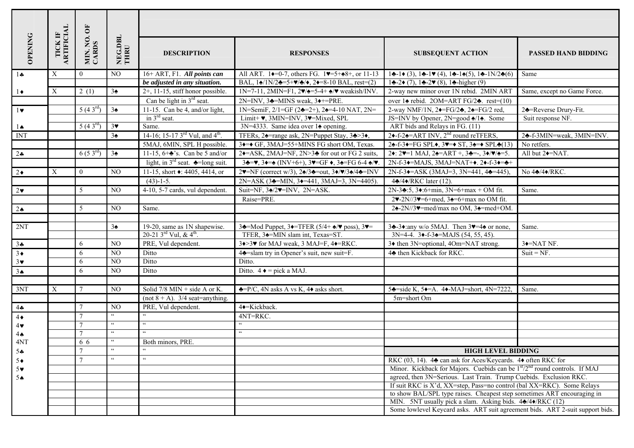|                       |                       |                                     | NEG.DBL<br>THRU      |                                                                    |                                                                                                                                                  |                                                                                                                                      |                             |  |  |  |
|-----------------------|-----------------------|-------------------------------------|----------------------|--------------------------------------------------------------------|--------------------------------------------------------------------------------------------------------------------------------------------------|--------------------------------------------------------------------------------------------------------------------------------------|-----------------------------|--|--|--|
| <b>OPENING</b>        | TICK IF<br>ARTIFICIAL | $\overline{\mathbf{5}}$<br>MIN. NO. |                      | <b>DESCRIPTION</b>                                                 | <b>RESPONSES</b>                                                                                                                                 | <b>SUBSEQUENT ACTION</b>                                                                                                             | <b>PASSED HAND BIDDING</b>  |  |  |  |
| $1 -$                 | X                     | $\theta$                            | NO.                  | 16+ ART, F1. All points can                                        | All ART. 1 $\bullet$ =0-7, others FG. 1 $\bullet$ =5+ $\bullet$ 8+, or 11-13                                                                     | $1\clubsuit - 1\spadesuit (3), 1\clubsuit - 1\spadesuit (4), 1\clubsuit - 1\spadesuit (5), 1\clubsuit - 1N/2\clubsuit (6)$           | Same                        |  |  |  |
|                       |                       |                                     |                      | be adjusted in any situation.                                      | BAL, $1\frac{\triangle}{2}$ =5+ $\blacktriangledown/\triangle$ / $\blacktriangledown$ , 2 $\blacktriangledown$ =8-10 BAL, rest=(2)               | $1\clubsuit -2\bullet (7), 1\clubsuit -2\blacktriangledown (8), 1\clubsuit -higher (9)$                                              |                             |  |  |  |
| $1\bullet$            | X                     | 2(1)                                | 3 <sub>2</sub>       | $2+$ , 11-15, stiff honor possible.                                | $1N=7-11$ , $2MIN = F1$ , $2\blacktriangledown/\blacktriangle = 5-4+\blacktriangle/\blacktriangledown$ weakish/INV.                              | 2-way new minor over 1N rebid. 2MIN ART                                                                                              | Same, except no Game Force. |  |  |  |
|                       |                       |                                     |                      | Can be light in $3rd$ seat.                                        | $2N=INV$ , $3\triangleleft=MINS$ weak, $3\triangleleft+=PRE$ .                                                                                   | over $1\spadesuit$ rebid. 20M=ART FG/2 $\clubsuit$ . rest=(10)                                                                       |                             |  |  |  |
| $1 \vee$              |                       | $5(43^{rd})$                        | $3\spadesuit$        | 11-15. Can be 4, and/or light,                                     | 1N=SemiF, $2/1$ =GF (2 $\triangle$ =2+), 2 $\triangle$ =4-10 NAT, 2N=                                                                            | 2-way NMF/1N, $2\blacklozenge = FG/2\blacklozenge$ , $2\blacktriangle = FG/2$ red,                                                   | 24=Reverse Drury-Fit.       |  |  |  |
|                       |                       |                                     |                      | in $3^{rd}$ seat.                                                  | Limit+ v, 3MIN=INV, 3v=Mixed, SPL                                                                                                                | JS=INV by Opener, $2N = \text{good } 4/14$ . Some                                                                                    | Suit response NF.           |  |  |  |
| $1\spadesuit$         |                       | $5(43^{rd})$                        | 3 <sup>4</sup>       | Same.                                                              | 3N=4333. Same idea over 14 opening.                                                                                                              | ART bids and Relays in FG. (11)                                                                                                      |                             |  |  |  |
| <b>INT</b>            |                       |                                     | $3\spadesuit$        | 14-16; 15-17 3 <sup>rd</sup> Vul, and 4 <sup>th</sup> .            | TFERs, 24=range ask, 2N=Puppet Stay, 34>34,                                                                                                      | 2 $\div$ f-2 $\div$ = ART INV, 2 <sup>nd</sup> round reTFERS,                                                                        | 24-f-3MIN=weak, 3MIN=INV.   |  |  |  |
|                       |                       |                                     |                      | 5MAJ, 6MIN, SPL H possible.                                        | 3•=• GF, 3MAJ=55+MINS FG short OM, Texas.                                                                                                        | 24-f-3 $\leftarrow$ FG SPL $\bullet$ , 3 $\leftarrow$ ST, 3 $\leftarrow$ SPL $\leftarrow$ (13)                                       | No retfers.                 |  |  |  |
| $2\bullet$            |                       | $6(53^{rd})$                        | $3\spadesuit$        | 11-15, $\overline{6+}\bullet$ 's. Can be 5 and/or                  | 2 $\triangleleft$ =ASK, 2MAJ=NF, 2N>3 $\triangleleft$ for out or FG 2 suits,                                                                     | 2. $2 \div 2 \div 1$ MAJ, $2 \div 1$ ART +, $3 \div 1$ , $3 \div 1$ , $3 \div 1$                                                     | All but 2 <sup>+</sup> NAT. |  |  |  |
|                       |                       |                                     |                      | light, in $3^{rd}$ seat. $\triangle$ =long suit.                   | $3\clubsuit = \vee$ , $3\bullet = \triangle$ (INV+6+), $3\bullet = GF \bullet$ , $3\bullet = FG 6 - 4 \trianglelefteq \vee$ .                    | $2N-f-3$ $\rightarrow$ =MAJS, 3MAJ=NAT+ $\rightarrow$ . 2 $\rightarrow$ -f-3 $\rightarrow$ = $\rightarrow$ +                         |                             |  |  |  |
| $2\bullet$            | X                     | $\overline{0}$                      | NO.                  | 11-15, short $\bullet$ : 4405, 4414, or                            | $2\Psi = NF$ (correct w/3), $2\frac{\mathbf{A}}{3} = out$ , $3\frac{\mathbf{A}}{8}/\frac{\mathbf{A}}{2} = INV$                                   | $2N-f-3$ $\rightarrow$ $-ASK (3MAJ=3, 3N=441, 4$ $\rightarrow$ $=445)$ ,                                                             | No 44/44/RKC.               |  |  |  |
|                       |                       |                                     |                      | $\sqrt{(43)-1-5}$ .                                                | $2N=ASK$ (3 $\triangle$ =MIN, 3 $\triangle$ =441, 3MAJ=3, 3N=4405).                                                                              | 44/4+/RKC later (12).                                                                                                                |                             |  |  |  |
| $2\bullet$            |                       | 5                                   | NO.                  | 4-10, 5-7 cards, vul dependent.                                    | Suit=NF, $3\angle 2\Psi$ =INV, $2N=ASK$ .                                                                                                        | $2N-3$ $\div 5$ , $3\div 6 + min$ , $3N=6+ max + OM$ fit.                                                                            | Same.                       |  |  |  |
|                       |                       |                                     |                      |                                                                    | Raise=PRE.                                                                                                                                       | $2\blacktriangledown -2N/3\blacktriangledown = 6 + \text{med}$ , $3\blacktriangle = 6 + \text{max}$ no OM fit.                       |                             |  |  |  |
| $2\spadesuit$         |                       | 5                                   | NO.                  | Same.                                                              |                                                                                                                                                  | $2\div 2N/3$ = med/max no OM, $3\div$ = med+OM.                                                                                      |                             |  |  |  |
| 2NT                   |                       |                                     | $3\spadesuit$        | 19-20, same as 1N shapewise.<br>20-21 3rd Vul, & $4^{\text{th}}$ . | 34=Mod Puppet, 34=TFER (5/4+ $\triangle$ / $\blacktriangledown$ poss), 3 $\blacktriangledown$ =<br>TFER, 3 <sup>4</sup> =MIN slam int, Texas=ST. | 34-34:any w/o 5MAJ. Then $3\blacktriangledown=4\blacktriangle$ or none,<br>$3N=4-4$ . $3\bullet - f-3\bullet = MAJS$ (54, 55, 45).   | Same.                       |  |  |  |
| $3 +$                 |                       | 6                                   | NO.                  | PRE, Vul dependent.                                                | $3\rightarrow 3\blacktriangleright$ for MAJ weak, 3 MAJ=F, 4 $\blacktriangleright$ =RKC.                                                         | 3♦ then 3N=optional, 4Om=NAT strong.                                                                                                 | 3 <sup>+</sup> NAT NF.      |  |  |  |
| $3\bullet$            |                       | 6                                   | NO                   | Ditto                                                              | 4 <sup><math>\triangle</math></sup> =slam try in Opener's suit, new suit=F.                                                                      | 4 <sup>*</sup> then Kickback for RKC.                                                                                                | $Suit = NF$ .               |  |  |  |
| $3*$                  |                       | 6                                   | NO                   | Ditto                                                              | Ditto.                                                                                                                                           |                                                                                                                                      |                             |  |  |  |
| 3 <sub>•</sub>        |                       | 6                                   | NO.                  | Ditto                                                              | Ditto. $4 \triangleleft = \text{pick } a \text{ MAJ}.$                                                                                           |                                                                                                                                      |                             |  |  |  |
|                       |                       |                                     |                      |                                                                    |                                                                                                                                                  |                                                                                                                                      |                             |  |  |  |
| 3NT                   | X                     | $\overline{7}$                      | $\overline{NO}$      | Solid $7/8$ MIN + side A or K.                                     | $\triangle$ =P/C, 4N asks A vs K, 4 $\triangle$ asks short.                                                                                      | 54 = side K, 54 = A. 44 - MAJ = short, 4N = 7222.                                                                                    | Same.                       |  |  |  |
|                       |                       |                                     |                      | (not $8 + A$ ). 3/4 seat=anything.                                 |                                                                                                                                                  | 5m=short Om                                                                                                                          |                             |  |  |  |
| $4 -$                 |                       | $\tau$                              | NO.                  | PRE, Vul dependent.                                                | 4+Kickback.                                                                                                                                      |                                                                                                                                      |                             |  |  |  |
| $4\bullet$            |                       | $\tau$                              | $\epsilon\,\epsilon$ | $\epsilon\,\epsilon$                                               | 4NT=RKC.                                                                                                                                         |                                                                                                                                      |                             |  |  |  |
| $4\blacktriangledown$ |                       | $\tau$                              | $\zeta$ $\zeta$      | $\zeta\,\zeta$                                                     | $\epsilon\, \epsilon$                                                                                                                            |                                                                                                                                      |                             |  |  |  |
| $4\spadesuit$         |                       |                                     | $\zeta$ $\zeta$      | $\epsilon\, \epsilon$                                              | $\zeta$ $\zeta$                                                                                                                                  |                                                                                                                                      |                             |  |  |  |
| 4NT                   |                       | 6 6                                 | $\zeta$ $\zeta$      | Both minors, PRE.                                                  |                                                                                                                                                  |                                                                                                                                      |                             |  |  |  |
| $5 -$                 |                       |                                     |                      |                                                                    |                                                                                                                                                  | <b>HIGH LEVEL BIDDING</b>                                                                                                            |                             |  |  |  |
| $5\bullet$            |                       |                                     | $\zeta$ $\zeta$      | $\zeta\,\zeta$                                                     |                                                                                                                                                  | RKC (03, 14). 44 can ask for Aces/Keycards. 40 often RKC for                                                                         |                             |  |  |  |
| $5\blacktriangledown$ |                       |                                     |                      |                                                                    |                                                                                                                                                  | Minor. Kickback for Majors. Cuebids can be $1st/2nd$ round controls. If MAJ                                                          |                             |  |  |  |
| 5A                    |                       |                                     |                      |                                                                    |                                                                                                                                                  | agreed, then 3N=Serious. Last Train. Trump Cuebids. Exclusion RKC.                                                                   |                             |  |  |  |
|                       |                       |                                     |                      |                                                                    |                                                                                                                                                  | If suit RKC is X'd, XX=step, Pass=no control (bal XX=RKC). Some Relays                                                               |                             |  |  |  |
|                       |                       |                                     |                      |                                                                    |                                                                                                                                                  | to show BAL/SPL type raises. Cheapest step sometimes ART encouraging in<br>MIN. 5NT usually pick a slam. Asking bids. 44/44/RKC (12) |                             |  |  |  |
|                       |                       |                                     |                      |                                                                    |                                                                                                                                                  | Some lowlevel Keycard asks. ART suit agreement bids. ART 2-suit support bids.                                                        |                             |  |  |  |
|                       |                       |                                     |                      |                                                                    |                                                                                                                                                  |                                                                                                                                      |                             |  |  |  |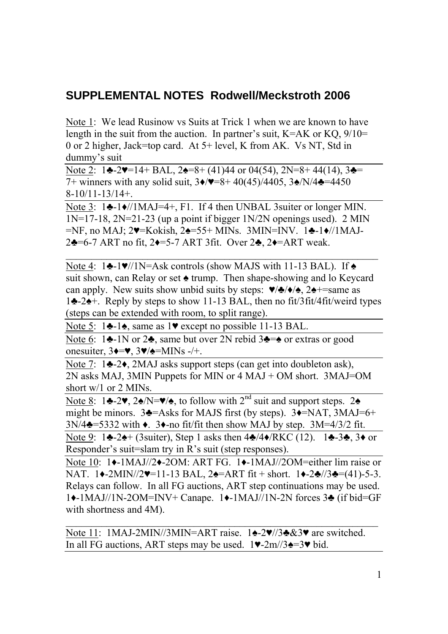## **SUPPLEMENTAL NOTES Rodwell/Meckstroth 2006**

Note 1: We lead Rusinow vs Suits at Trick 1 when we are known to have length in the suit from the auction. In partner's suit,  $K=AK$  or  $KQ$ ,  $9/10=$ 0 or 2 higher, Jack=top card. At 5+ level, K from AK. Vs NT, Std in dummy's suit

Note 2:  $1\clubsuit -2\blacktriangledown = 14 + \text{BAL}$ ,  $2\spadesuit = 8 + (41)44$  or  $04(54)$ ,  $2N = 8 + 44(14)$ ,  $3\clubsuit =$ 7+ winners with any solid suit, 3♦/♥=8+ 40(45)/4405, 3♠/N/4♣=4450 8-10/11-13/14+.

Note 3: 1♣-1♦//1MAJ=4+, F1. If 4 then UNBAL 3suiter or longer MIN.  $1N=17-18$ ,  $2N=21-23$  (up a point if bigger  $1N/2N$  openings used). 2 MIN =NF, no MAJ; 2♥=Kokish, 2♠=55+ MINs. 3MIN=INV. 1♣-1♦//1MAJ-2♣=6-7 ART no fit, 2♦=5-7 ART 3fit. Over 2♣, 2♦=ART weak.

Note 4: 1♣-1♥//1N=Ask controls (show MAJS with 11-13 BAL). If ◆ suit shown, can Relay or set  $\triangle$  trump. Then shape-showing and lo Keycard can apply. New suits show unbid suits by steps:  $\blacktriangledown/\blacktriangle/\blacktriangle$ , 2 $\blacktriangle$ +=same as 1♣-2♠+. Reply by steps to show 11-13 BAL, then no fit/3fit/4fit/weird types (steps can be extended with room, to split range).

 $\_$  , and the contribution of the contribution of  $\mathcal{L}_\mathcal{A}$ 

Note 5: 1♣-1♠, same as 1♥ except no possible 11-13 BAL.

Note 6: 1♣-1N or 2♣, same but over 2N rebid 3♣=♠ or extras or good onesuiter,  $3\rightarrow\infty$ ,  $3\rightarrow\infty$  = MINs -/+.

Note 7: 1♣-2♦, 2MAJ asks support steps (can get into doubleton ask), 2N asks MAJ, 3MIN Puppets for MIN or 4 MAJ + OM short. 3MAJ=OM short w/1 or 2 MINs.

Note 8: 1 $\triangle 2$ ,  $2\triangle N = \sqrt{2}$ , to follow with  $2^{nd}$  suit and support steps. 2 $\triangle$ might be minors.  $3\blacktriangle =$ Asks for MAJS first (by steps).  $3\blacktriangle =$ NAT,  $3MAJ=6+$  $3N/4$  $\triangle$ =5332 with  $\triangle$ .  $3\triangle$ -no fit/fit then show MAJ by step.  $3M=4/3/2$  fit.

Note 9: 1♣-2♠+ (3suiter), Step 1 asks then 4♣/4♦/RKC (12). 1♣-3♣, 3♦ or Responder's suit=slam try in R's suit (step responses).

Note 10: 1♦-1MAJ//2♦-2OM: ART FG. 1♦-1MAJ//2OM=either lim raise or NAT. 1◆-2MIN//2♥=11-13 BAL, 2◆=ART fit + short. 1◆-2◆//3◆=(41)-5-3. Relays can follow. In all FG auctions, ART step continuations may be used. 1♦-1MAJ//1N-2OM=INV+ Canape. 1♦-1MAJ//1N-2N forces 3♣ (if bid=GF with shortness and 4M).

 $\_$  , and the contribution of the contribution of  $\mathcal{L}_\mathcal{A}$ 

Note 11: 1MAJ-2MIN//3MIN=ART raise. 1♠-2♥//3♣&3♥ are switched. In all FG auctions, ART steps may be used.  $1\blacktriangledown-2m/3\blacktriangle = 3\blacktriangledown$  bid.